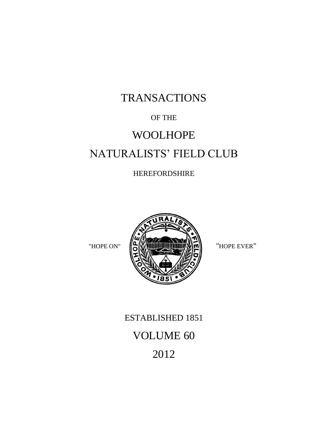# TRANSACTIONS

### OF THE

# WOOLHOPE NATURALISTS' FIELD CLUB

### HEREFORDSHIRE



# ESTABLISHED 1851 VOLUME 60 2012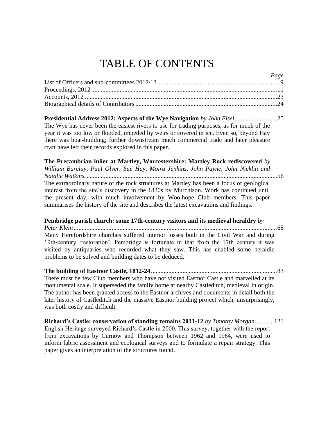# TABLE OF CONTENTS

| <i>ruge</i> |  |
|-------------|--|
|             |  |
|             |  |
|             |  |
|             |  |

*Page*

**Presidential Address 2012: Aspects of the Wye Navigation** *by John Eisel*...........................25 The Wye has never been the easiest rivers to use for trading purposes, as for much of the year it was too low or flooded, impeded by weirs or covered in ice. Even so, beyond Hay there was boat-building; further downstream much commercial trade and later pleasure craft have left their records explored in this paper.

**The Precambrian inlier at Martley, Worcestershire: Martley Rock rediscovered** *by William Barclay, Paul Olver, Sue Hay, Moira Jenkins, John Payne, John Nicklin and Natalie Watkins.*.........................................................................................................................56 The extraordinary nature of the rock structures at Martley has been a focus of geological interest from the site's discovery in the 1830s by Murchison. Work has continued until the present day, with much involvement by Woolhope Club members. This paper summarises the history of the site and describes the latest excavations and findings.

**Pembridge parish church: some 17th-century visitors and its medieval heraldry** *by Peter Klein .................................................................................................................................*68 Many Herefordshire churches suffered interior losses both in the Civil War and during 19th-century 'restoration'. Pembridge is fortunate in that from the 17th century it was visited by antiquaries who recorded what they saw. This has enabled some heraldic problems to be solved and building dates to be deduced.

**The building of Eastnor Castle, 1812-24** *................................................................................*83 There must be few Club members who have not visited Eastnor Castle and marvelled at its monumental scale. It superseded the family home at nearby Castleditch, medieval in origin. The author has been granted access to the Eastnor archives and documents in detail both the later history of Castleditch and the massive Eastnor building project which, unsurprisingly, was both costly and difficult.

**Richard's Castle: conservation of standing remains 2011-12** *by Timothy Morgan*............121 English Heritage surveyed Richard's Castle in 2000. This survey, together with the report from excavations by Curnow and Thompson between 1962 and 1964, were used to inform fabric assessment and ecological surveys and to formulate a repair strategy. This paper gives an interpretation of the structures found.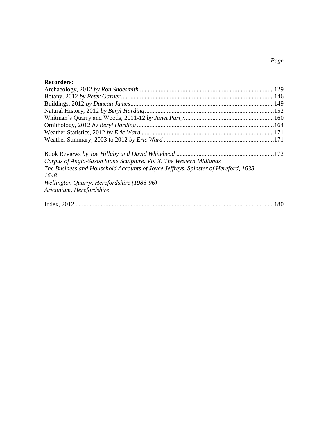### **Recorders:**

| Corpus of Anglo-Saxon Stone Sculpture. Vol X. The Western Midlands                 |  |
|------------------------------------------------------------------------------------|--|
| The Business and Household Accounts of Joyce Jeffreys, Spinster of Hereford, 1638- |  |
| 1648                                                                               |  |
| Wellington Quarry, Herefordshire (1986-96)                                         |  |
| Ariconium, Herefordshire                                                           |  |
|                                                                                    |  |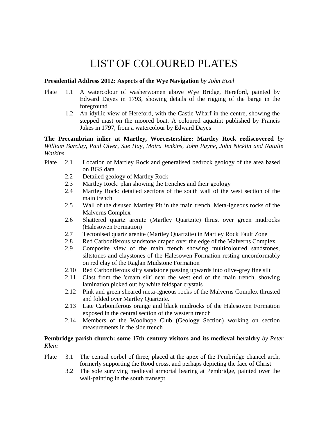## LIST OF COLOURED PLATES

#### **Presidential Address 2012: Aspects of the Wye Navigation** *by John Eisel*

- Plate 1.1 A watercolour of washerwomen above Wye Bridge, Hereford, painted by Edward Dayes in 1793, showing details of the rigging of the barge in the foreground
	- 1.2 An idyllic view of Hereford, with the Castle Wharf in the centre, showing the stepped mast on the moored boat. A coloured aquatint published by Francis Jukes in 1797, from a watercolour by Edward Dayes

**The Precambrian inlier at Martley, Worcestershire: Martley Rock rediscovered** *by William Barclay, Paul Olver, Sue Hay, Moira Jenkins, John Payne, John Nicklin and Natalie Watkins*

- Plate 2.1 Location of Martley Rock and generalised bedrock geology of the area based on BGS data
	- 2.2 Detailed geology of Martley Rock<br>2.3 Martley Rock: plan showing the tre
	- Martley Rock: plan showing the trenches and their geology
	- 2.4 Martley Rock: detailed sections of the south wall of the west section of the main trench
	- 2.5 Wall of the disused Martley Pit in the main trench. Meta-igneous rocks of the Malverns Complex
	- 2.6 Shattered quartz arenite (Martley Quartzite) thrust over green mudrocks (Halesowen Formation)
	- 2.7 Tectonised quartz arenite (Martley Quartzite) in Martley Rock Fault Zone
	- 2.8 Red Carboniferous sandstone draped over the edge of the Malverns Complex
	- 2.9 Composite view of the main trench showing multicoloured sandstones, siltstones and claystones of the Halesowen Formation resting unconformably on red clay of the Raglan Mudstone Formation
	- 2.10 Red Carboniferous silty sandstone passing upwards into olive-grey fine silt
	- 2.11 Clast from the 'cream silt' near the west end of the main trench, showing lamination picked out by white feldspar crystals
	- 2.12 Pink and green sheared meta-igneous rocks of the Malverns Complex thrusted and folded over Martley Quartzite.
	- 2.13 Late Carboniferous orange and black mudrocks of the Halesowen Formation exposed in the central section of the western trench
	- 2.14 Members of the Woolhope Club (Geology Section) working on section measurements in the side trench

#### **Pembridge parish church: some 17th-century visitors and its medieval heraldry** *by Peter Klein*

- Plate 3.1 The central corbel of three, placed at the apex of the Pembridge chancel arch, formerly supporting the Rood cross, and perhaps depicting the face of Christ
	- 3.2 The sole surviving medieval armorial bearing at Pembridge, painted over the wall-painting in the south transept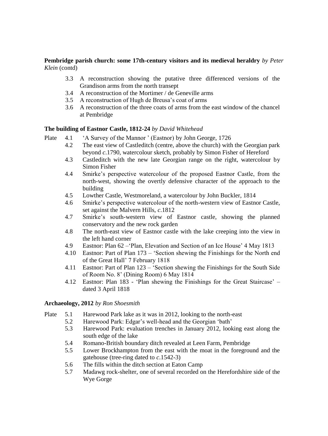#### **Pembridge parish church: some 17th-century visitors and its medieval heraldry** *by Peter Klein* (contd)

- 3.3 A reconstruction showing the putative three differenced versions of the Grandison arms from the north transept
- 3.4 A reconstruction of the Mortimer / de Geneville arms
- 3.5 A reconstruction of Hugh de Breusa's coat of arms
- 3.6 A reconstruction of the three coats of arms from the east window of the chancel at Pembridge

#### **The building of Eastnor Castle, 1812-24** *by David Whitehead*

- Plate 4.1 'A Survey of the Mannor ' (Eastnor) by John George, 1726
	- 4.2 The east view of Castleditch (centre, above the church) with the Georgian park beyond *c*.1790, watercolour sketch, probably by Simon Fisher of Hereford
	- 4.3 Castleditch with the new late Georgian range on the right, watercolour by Simon Fisher
	- 4.4 Smirke's perspective watercolour of the proposed Eastnor Castle, from the north-west, showing the overtly defensive character of the approach to the building
	- 4.5 Lowther Castle, Westmoreland, a watercolour by John Buckler, 1814
	- 4.6 Smirke's perspective watercolour of the north-western view of Eastnor Castle, set against the Malvern Hills, *c*.1812
	- 4.7 Smirke's south-western view of Eastnor castle, showing the planned conservatory and the new rock garden
	- 4.8 The north-east view of Eastnor castle with the lake creeping into the view in the left hand corner
	- 4.9 Eastnor: Plan 62 –'Plan, Elevation and Section of an Ice House' 4 May 1813
	- 4.10 Eastnor: Part of Plan 173 'Section shewing the Finishings for the North end of the Great Hall' 7 February 1818
	- 4.11 Eastnor: Part of Plan 123 'Section shewing the Finishings for the South Side of Room No. 8' (Dining Room) 6 May 1814
	- 4.12 Eastnor: Plan 183 'Plan shewing the Finishings for the Great Staircase' dated 3 April 1818

#### **Archaeology, 2012** *by Ron Shoesmith*

- Plate 5.1 Harewood Park lake as it was in 2012, looking to the north-east
	- 5.2 Harewood Park: Edgar's well-head and the Georgian 'bath'
	- 5.3 Harewood Park: evaluation trenches in January 2012, looking east along the south edge of the lake
	- 5.4 Romano-British boundary ditch revealed at Leen Farm, Pembridge
	- 5.5 Lower Brockhampton from the east with the moat in the foreground and the gatehouse (tree-ring dated to *c*.1542-3)
	- 5.6 The fills within the ditch section at Eaton Camp
	- 5.7 Madawg rock-shelter, one of several recorded on the Herefordshire side of the Wye Gorge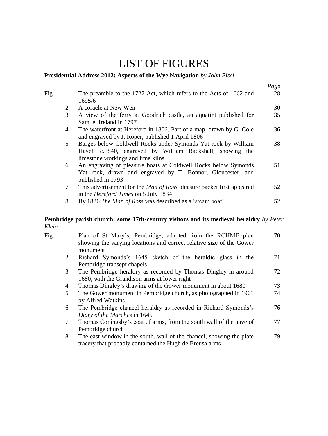## LIST OF FIGURES

#### **Presidential Address 2012: Aspects of the Wye Navigation** *by John Eisel*

|                 |                                                                              | Page                                                                                                                                                                                                                               |
|-----------------|------------------------------------------------------------------------------|------------------------------------------------------------------------------------------------------------------------------------------------------------------------------------------------------------------------------------|
|                 | The preamble to the 1727 Act, which refers to the Acts of 1662 and           | 28                                                                                                                                                                                                                                 |
|                 |                                                                              |                                                                                                                                                                                                                                    |
| 2               | A coracle at New Weir                                                        | 30                                                                                                                                                                                                                                 |
| 3               | A view of the ferry at Goodrich castle, an aquatint published for            | 35                                                                                                                                                                                                                                 |
|                 | Samuel Ireland in 1797                                                       |                                                                                                                                                                                                                                    |
| 4               | The waterfront at Hereford in 1806. Part of a map, drawn by G. Cole          | 36                                                                                                                                                                                                                                 |
|                 |                                                                              |                                                                                                                                                                                                                                    |
| 5               | Barges below Coldwell Rocks under Symonds Yat rock by William                | 38                                                                                                                                                                                                                                 |
|                 | Havell c.1840, engraved by William Backshall, showing the                    |                                                                                                                                                                                                                                    |
|                 | limestone workings and lime kilns                                            |                                                                                                                                                                                                                                    |
| 6               | An engraving of pleasure boats at Coldwell Rocks below Symonds               | 51                                                                                                                                                                                                                                 |
|                 |                                                                              |                                                                                                                                                                                                                                    |
|                 | published in 1793                                                            |                                                                                                                                                                                                                                    |
| $7\phantom{.0}$ | This advertisement for the <i>Man of Ross</i> pleasure packet first appeared | 52                                                                                                                                                                                                                                 |
|                 |                                                                              |                                                                                                                                                                                                                                    |
| 8               |                                                                              | 52.                                                                                                                                                                                                                                |
|                 |                                                                              | 1695/6<br>and engraved by J. Roper, published 1 April 1806<br>Yat rock, drawn and engraved by T. Bonnor, Gloucester, and<br>in the <i>Hereford Times</i> on 5 July 1834<br>By 1836 The Man of Ross was described as a 'steam boat' |

#### **Pembridge parish church: some 17th-century visitors and its medieval heraldry** *by Peter Klein*

| Fig. |   | Plan of St Mary's, Pembridge, adapted from the RCHME plan<br>showing the varying locations and correct relative size of the Gower<br>monument | 70 |
|------|---|-----------------------------------------------------------------------------------------------------------------------------------------------|----|
|      | 2 | Richard Symonds's 1645 sketch of the heraldic glass in the                                                                                    | 71 |
|      |   | Pembridge transept chapels                                                                                                                    |    |
|      | 3 | The Pembridge heraldry as recorded by Thomas Dingley in around                                                                                | 72 |
|      |   | 1680, with the Grandison arms at lower right                                                                                                  |    |
|      | 4 | Thomas Dingley's drawing of the Gower monument in about 1680                                                                                  | 73 |
|      | 5 | The Gower monument in Pembridge church, as photographed in 1901                                                                               | 74 |
|      |   | by Alfred Watkins                                                                                                                             |    |
|      | 6 | The Pembridge chancel heraldry as recorded in Richard Symonds's                                                                               | 76 |
|      |   | Diary of the Marches in 1645                                                                                                                  |    |
|      | 7 | Thomas Coningsby's coat of arms, from the south wall of the nave of                                                                           | 77 |
|      |   | Pembridge church                                                                                                                              |    |
|      | 8 | The east window in the south, wall of the chancel, showing the plate<br>tracery that probably contained the Hugh de Breusa arms               | 79 |
|      |   |                                                                                                                                               |    |